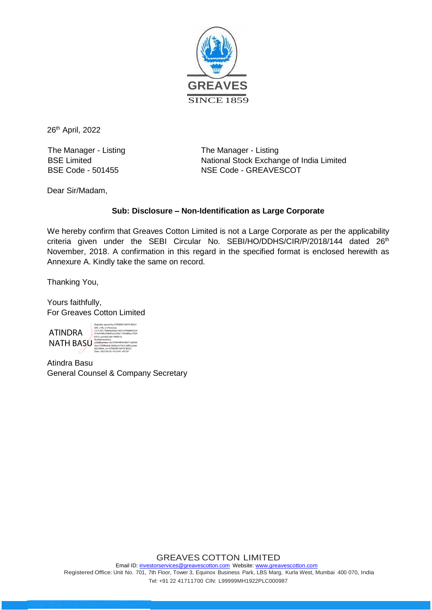

26<sup>th</sup> April, 2022

The Manager - Listing BSE Limited BSE Code - 501455

The Manager - Listing National Stock Exchange of India Limited NSE Code - GREAVESCOT

Dear Sir/Madam,

## **Sub: Disclosure – Non-Identification as Large Corporate**

We hereby confirm that Greaves Cotton Limited is not a Large Corporate as per the applicability criteria given under the SEBI Circular No. SEBI/HO/DDHS/CIR/P/2018/144 dated 26<sup>th</sup> November, 2018. A confirmation in this regard in the specified format is enclosed herewith as Annexure A. Kindly take the same on record.

Thanking You,

Yours faithfully, For Greaves Cotton Limited

ATINDRA NATH BASU serialNumber=6a739644895d9b71ab90d<br>dae772bf6e6c81895bc67767c20ff2ca9a6

Digitally signed by ATINDRA NATH BASU<br>DN: c=IN, o=Personal,<br>2.5.4.20=738bbb4dae14d7a19448865255 914e549b258b83e2220e1134a8fbac7054 0372, postalCode=400610, 8623f8a4, cn=ATINDRA NATH BASU Date: 2022.04.26 14:32:45 +05'30'

Atindra Basu General Counsel & Company Secretary

## GREAVES COTTON LIMITED

Email ID[: investorservices@greavescotton.com](mailto:investorservices@greavescotton.com) Website[: www.greavescotton.com](http://www.greavescotton.com/) Registered Office: Unit No. 701, 7th Floor, Tower 3, Equinox Business Park, LBS Marg, Kurla West, Mumbai 400 070, India Tel: +91 22 41711700 CIN: L99999MH1922PLC000987